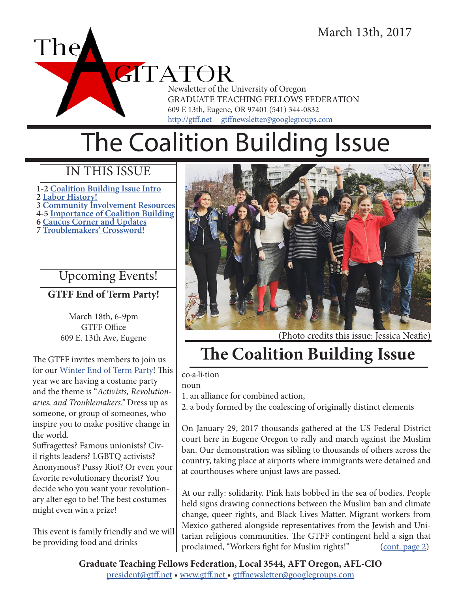

# The Coalition Building Issue

### IN THIS ISSUE

**1-2 Coalition Building Issue Intro 2 Labor History! 3 Community Involvement Resources 4-5 Importance of Coalition Building 6 Caucus Corner and Updates 7 Troublemakers' Crossword!**

### Upcoming Events!

**GTFF End of Term Party!**

March 18th, 6-9pm GTFF Office 609 E. 13th Ave, Eugene

The GTFF invites members to join us for our Winter End of Term Party! This year we are having a costume party and the theme is "*Activists, Revolutionaries, and Troublemakers."* Dress up as someone, or group of someones, who inspire you to make positive change in the world.

Suffragettes? Famous unionists? Civil rights leaders? LGBTQ activists? Anonymous? Pussy Riot? Or even your favorite revolutionary theorist? You decide who you want your revolutionary alter ego to be! The best costumes might even win a prize!

This event is family friendly and we will be providing food and drinks



(Photo credits this issue: Jessica Neafie)

# **The Coalition Building Issue**

co·a·li·tion

noun

1. an alliance for combined action,

2. a body formed by the coalescing of originally distinct elements

On January 29, 2017 thousands gathered at the US Federal District court here in Eugene Oregon to rally and march against the Muslim ban. Our demonstration was sibling to thousands of others across the country, taking place at airports where immigrants were detained and at courthouses where unjust laws are passed.

At our rally: solidarity. Pink hats bobbed in the sea of bodies. People held signs drawing connections between the Muslim ban and climate change, queer rights, and Black Lives Matter. Migrant workers from Mexico gathered alongside representatives from the Jewish and Unitarian religious communities. The GTFF contingent held a sign that proclaimed, "Workers fight for Muslim rights!" (cont. page 2)

**Graduate Teaching Fellows Federation, Local 3544, AFT Oregon, AFL-CIO** president@gtff.net • www.gtff.net • gtffnewsletter@googlegroups.com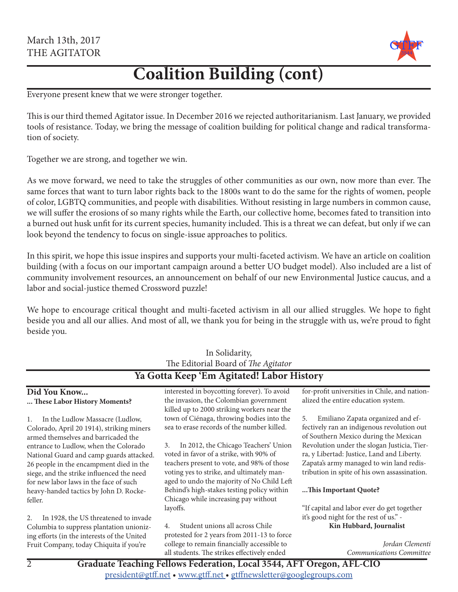

## **Coalition Building (cont)**

Everyone present knew that we were stronger together.

This is our third themed Agitator issue. In December 2016 we rejected authoritarianism. Last January, we provided tools of resistance. Today, we bring the message of coalition building for political change and radical transformation of society.

Together we are strong, and together we win.

As we move forward, we need to take the struggles of other communities as our own, now more than ever. The same forces that want to turn labor rights back to the 1800s want to do the same for the rights of women, people of color, LGBTQ communities, and people with disabilities. Without resisting in large numbers in common cause, we will suffer the erosions of so many rights while the Earth, our collective home, becomes fated to transition into a burned out husk unfit for its current species, humanity included. This is a threat we can defeat, but only if we can look beyond the tendency to focus on single-issue approaches to politics.

In this spirit, we hope this issue inspires and supports your multi-faceted activism. We have an article on coalition building (with a focus on our important campaign around a better UO budget model). Also included are a list of community involvement resources, an announcement on behalf of our new Environmental Justice caucus, and a labor and social-justice themed Crossword puzzle!

We hope to encourage critical thought and multi-faceted activism in all our allied struggles. We hope to fight beside you and all our allies. And most of all, we thank you for being in the struggle with us, we're proud to fight beside you.

In Solidarity,

| 111 Johanney,<br>The Editorial Board of The Agitator<br>Ya Gotta Keep 'Em Agitated! Labor History                                                                          |                                                                                                                                        |                                                                                                                                                                                  |
|----------------------------------------------------------------------------------------------------------------------------------------------------------------------------|----------------------------------------------------------------------------------------------------------------------------------------|----------------------------------------------------------------------------------------------------------------------------------------------------------------------------------|
|                                                                                                                                                                            |                                                                                                                                        |                                                                                                                                                                                  |
| In the Ludlow Massacre (Ludlow,<br>1.                                                                                                                                      | killed up to 2000 striking workers near the<br>town of Ciénaga, throwing bodies into the<br>sea to erase records of the number killed. | Emiliano Zapata organized and ef-<br>5.                                                                                                                                          |
| Colorado, April 20 1914), striking miners<br>armed themselves and barricaded the<br>entrance to Ludlow, when the Colorado                                                  | In 2012, the Chicago Teachers' Union<br>3.<br>voted in favor of a strike, with 90% of                                                  | fectively ran an indigenous revolution out<br>of Southern Mexico during the Mexican<br>Revolution under the slogan Justicia, Tier-<br>ra, y Libertad: Justice, Land and Liberty. |
| National Guard and camp guards attacked.<br>26 people in the encampment died in the<br>siege, and the strike influenced the need<br>for new labor laws in the face of such | teachers present to vote, and 98% of those<br>voting yes to strike, and ultimately man-<br>aged to undo the majority of No Child Left  | Zapata's army managed to win land redis-<br>tribution in spite of his own assassination.                                                                                         |
| heavy-handed tactics by John D. Rocke-<br>feller.                                                                                                                          | Behind's high-stakes testing policy within<br>Chicago while increasing pay without                                                     | This Important Quote?                                                                                                                                                            |
| In 1928, the US threatened to invade<br>2.                                                                                                                                 | layoffs.                                                                                                                               | "If capital and labor ever do get together<br>it's good night for the rest of us." -                                                                                             |
| Columbia to suppress plantation unioniz-<br>ing efforts (in the interests of the United                                                                                    | Student unions all across Chile<br>4.<br>protested for 2 years from 2011-13 to force                                                   | Kin Hubbard, Journalist                                                                                                                                                          |
| Fruit Company, today Chiquita if you're                                                                                                                                    | college to remain financially accessible to<br>all students. The strikes effectively ended                                             | Jordan Clementi<br>Communications Committee                                                                                                                                      |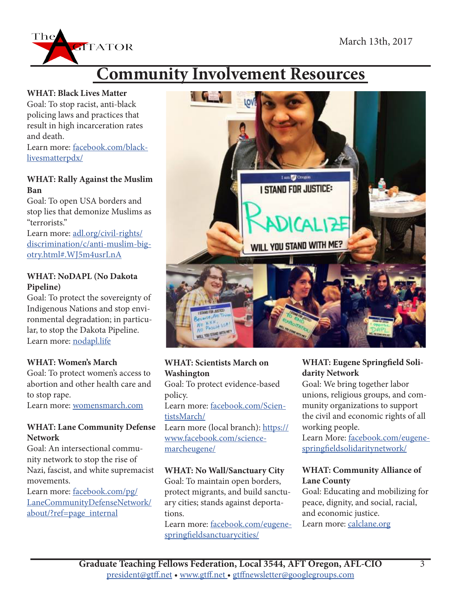

#### **WHAT: Black Lives Matter**

 $Th\epsilon$ 

Goal: To stop racist, anti-black policing laws and practices that result in high incarceration rates and death.

**ATATOR** 

Learn more: facebook.com/blacklivesmatterpdx/

### **WHAT: Rally Against the Muslim Ban**

Goal: To open USA borders and stop lies that demonize Muslims as "terrorists."

Learn more: adl.org/civil-rights/ discrimination/c/anti-muslim-bigotry.html#.WJ5m4usrLnA

### **WHAT: NoDAPL (No Dakota Pipeline)**

Goal: To protect the sovereignty of Indigenous Nations and stop environmental degradation; in particular, to stop the Dakota Pipeline. Learn more: nodapl.life

### **WHAT: Women's March**

Goal: To protect women's access to abortion and other health care and to stop rape.

Learn more: womensmarch.com

#### **WHAT: Lane Community Defense Network**

Goal: An intersectional community network to stop the rise of Nazi, fascist, and white supremacist movements.

Learn more: facebook.com/pg/ LaneCommunityDefenseNetwork/ about/?ref=page\_internal



### **WHAT: Scientists March on Washington**

Goal: To protect evidence-based policy.

Learn more: facebook.com/ScientistsMarch/

Learn more (local branch): https:// www.facebook.com/sciencemarcheugene/

### **WHAT: No Wall/Sanctuary City**

Goal: To maintain open borders, protect migrants, and build sanctuary cities; stands against deportations.

Learn more: facebook.com/eugenespringfieldsanctuarycities/

### **WHAT: Eugene Springfield Solidarity Network**

Goal: We bring together labor unions, religious groups, and community organizations to support the civil and economic rights of all working people.

Learn More: facebook.com/eugenespringfieldsolidaritynetwork/

### **WHAT: Community Alliance of Lane County**

Goal: Educating and mobilizing for peace, dignity, and social, racial, and economic justice.

Learn more: calclane.org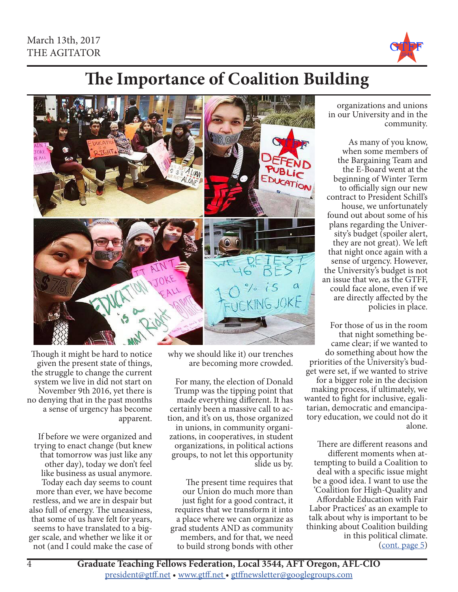

## **The Importance of Coalition Building**

EDUCATIO KING JOKE

> why we should like it) our trenches are becoming more crowded.

For many, the election of Donald Trump was the tipping point that made everything different. It has certainly been a massive call to action, and it's on us, those organized in unions, in community organizations, in cooperatives, in student organizations, in political actions groups, to not let this opportunity slide us by.

The present time requires that our Union do much more than just fight for a good contract, it requires that we transform it into a place where we can organize as grad students AND as community members, and for that, we need to build strong bonds with other

Though it might be hard to notice given the present state of things, the struggle to change the current system we live in did not start on November 9th 2016, yet there is no denying that in the past months a sense of urgency has become apparent.

If before we were organized and trying to enact change (but knew that tomorrow was just like any other day), today we don't feel like business as usual anymore. Today each day seems to count more than ever, we have become restless, and we are in despair but also full of energy. The uneasiness, that some of us have felt for years, seems to have translated to a bigger scale, and whether we like it or not (and I could make the case of

organizations and unions in our University and in the community.

As many of you know, when some members of the Bargaining Team and the E-Board went at the beginning of Winter Term to officially sign our new contract to President Schill's house, we unfortunately found out about some of his plans regarding the University's budget (spoiler alert, they are not great). We left that night once again with a sense of urgency. However, the University's budget is not an issue that we, as the GTFF, could face alone, even if we are directly affected by the policies in place.

For those of us in the room that night something became clear; if we wanted to do something about how the priorities of the University's budget were set, if we wanted to strive for a bigger role in the decision making process, if ultimately, we wanted to fight for inclusive, egalitarian, democratic and emancipatory education, we could not do it alone.

There are different reasons and different moments when attempting to build a Coalition to deal with a specific issue might be a good idea. I want to use the 'Coalition for High-Quality and Affordable Education with Fair Labor Practices' as an example to talk about why is important to be thinking about Coalition building in this political climate. (cont. page 5)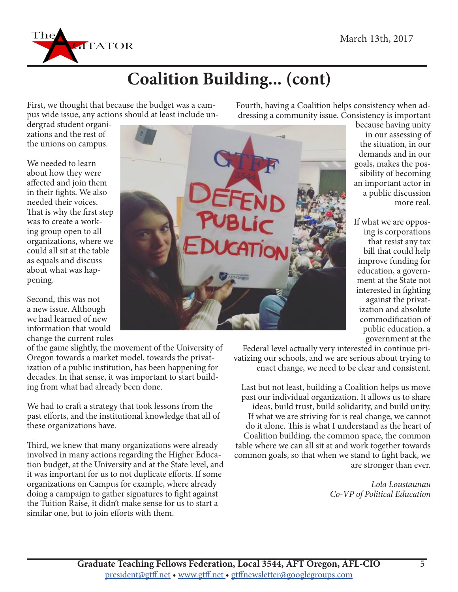

# **Coalition Building... (cont)**

First, we thought that because the budget was a campus wide issue, any actions should at least include un-

dergrad student organizations and the rest of the unions on campus.

We needed to learn about how they were affected and join them in their fights. We also needed their voices. That is why the first step was to create a working group open to all organizations, where we could all sit at the table as equals and discuss about what was happening.

Second, this was not a new issue. Although we had learned of new information that would change the current rules

of the game slightly, the movement of the University of Oregon towards a market model, towards the privatization of a public institution, has been happening for decades. In that sense, it was important to start building from what had already been done.

We had to craft a strategy that took lessons from the past efforts, and the institutional knowledge that all of these organizations have.

Third, we knew that many organizations were already involved in many actions regarding the Higher Education budget, at the University and at the State level, and it was important for us to not duplicate efforts. If some organizations on Campus for example, where already doing a campaign to gather signatures to fight against the Tuition Raise, it didn't make sense for us to start a similar one, but to join efforts with them.



Fourth, having a Coalition helps consistency when addressing a community issue. Consistency is important

because having unity in our assessing of the situation, in our demands and in our goals, makes the possibility of becoming an important actor in a public discussion more real.

If what we are opposing is corporations that resist any tax bill that could help improve funding for education, a government at the State not interested in fighting against the privatization and absolute commodification of public education, a government at the

Federal level actually very interested in continue privatizing our schools, and we are serious about trying to enact change, we need to be clear and consistent.

Last but not least, building a Coalition helps us move past our individual organization. It allows us to share ideas, build trust, build solidarity, and build unity. If what we are striving for is real change, we cannot do it alone. This is what I understand as the heart of Coalition building, the common space, the common table where we can all sit at and work together towards common goals, so that when we stand to fight back, we are stronger than ever.

> *Lola Loustaunau Co-VP of Political Education*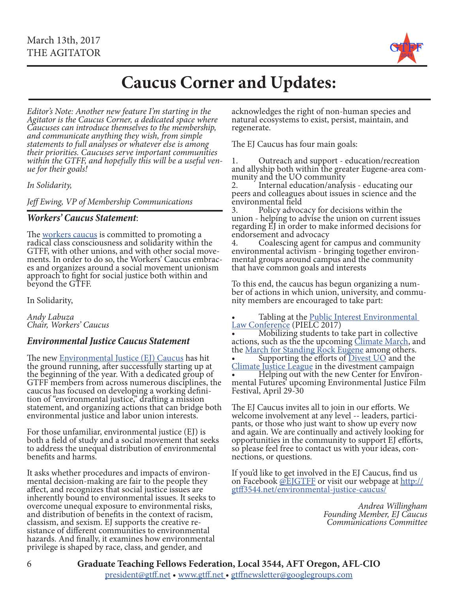

### **Caucus Corner and Updates:**

*Editor's Note: Another new feature I'm starting in the Agitator is the Caucus Corner, a dedicated space where Caucuses can introduce themselves to the membership, and communicate anything they wish, from simple statements to full analyses or whatever else is among their priorities. Caucuses serve important communities within the GTFF, and hopefully this will be a useful ven- ue for their goals!* 

*In Solidarity,* 

*Jeff Ewing, VP of Membership Communications*

#### *Workers' Caucus Statement*:

The workers caucus is committed to promoting a<br>radical class consciousness and solidarity within the<br>GTFF, with other unions, and with other social movements. In order to do so, the Workers' Caucus embraces and organizes around a social movement unionism approach to fight for social justice both within and beyond the GTFF.

In Solidarity,

*Andy Labuza Chair, Workers' Caucus*

### *Environmental Justice Caucus Statement*

The new Environmental Justice (EJ) Caucus has hit the ground running, after successfully starting up at the beginning of the year. With a dedicated group of GTFF members from across numerous disciplines, the caucus has focused on developing a working defini- tion of "environmental justice," drafting a mission statement, and organizing actions that can bridge both environmental justice and labor union interests.

For those unfamiliar, environmental justice (EJ) is both a field of study and a social movement that seeks to address the unequal distribution of environmental benefits and harms.

It asks whether procedures and impacts of environ- mental decision-making are fair to the people they affect, and recognizes that social justice issues are inherently bound to environmental issues. It seeks to overcome unequal exposure to environmental risks, and distribution of benefits in the context of racism, classism, and sexism. EJ supports the creative resistance of different communities to environmental hazards. And finally, it examines how environmental privilege is shaped by race, class, and gender, and

acknowledges the right of non-human species and natural ecosystems to exist, persist, maintain, and regenerate.

The EJ Caucus has four main goals:

1. Outreach and support - education/recreation<br>and allyship both within the greater Eugene-area com-<br>munity and the UO community<br>2. Internal education/analysis - educating our

peers and colleagues about issues in science and the environmental field<br>3. Policy advocacy for decisions within the

3. Policy advocacy for decisions within the union - helping to advise the union on current issues regarding EJ in order to make informed decisions for endorsement and advocacy<br>4. Coalescing agent for campus and community

4. Coalescing agent for campus and community environmental activism - bringing together environ- mental groups around campus and the community that have common goals and interests

To this end, the caucus has begun organizing a num- ber of actions in which union, university, and commu- nity members are encouraged to take part:

• Tabling at the <u>Public Interest Environmental</u><br>Law Conference (PIELC 2017)

• Mobilizing students to take part in collective actions, such as the the upcoming Climate March, and the March for Standing Rock Eugene among others. **Supporting the efforts of Divest UO** and the Climate Justice League in the divestment campaign • Helping out with the new Center for Environ-<br>mental Futures' upcoming Environmental Justice Film

Festival, April 29-30 The EJ Caucus invites all to join in our efforts. We

welcome involvement at any level -- leaders, partici-<br>pants, or those who just want to show up every now and again. We are continually and actively looking for opportunities in the community to support EJ efforts, so please feel free to contact us with your ideas, con- nections, or questions.

If you'd like to get involved in the EJ Caucus, find us on Facebook @EJGTFF or visit our webpage at http://<br>gtff3544.net/environmental-justice-caucus/

> *Andrea Willingham Founding Member, EJ Caucus Communications Committee*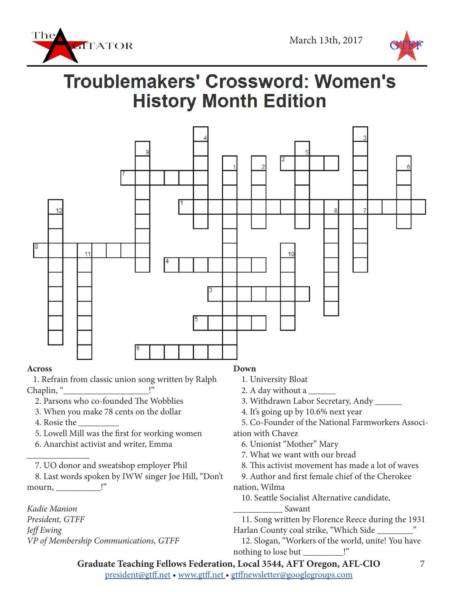



# **Troublemakers' Crossword: Women's History Month Edition**



#### **Across**

 1. Refrain from classic union song written by Ralph Chaplin, "

- 2. Parsons who co-founded The Wobblies
- 3. When you make 78 cents on the dollar
- 4. Rosie the \_\_\_\_\_\_\_\_\_

 $\overline{\phantom{a}}$  , where  $\overline{\phantom{a}}$ 

- 5. Lowell Mill was the first for working women
- 6. Anarchist activist and writer, Emma

7. UO donor and sweatshop employer Phil

 8. Last words spoken by IWW singer Joe Hill, "Don't mourn, \_\_\_\_\_\_\_\_\_\_!"

*Kadie Manion President, GTFF Jeff Ewing VP of Membership Communications, GTFF*

### **Down**

- 1. University Bloat
- 2. A day without a \_\_\_\_\_\_
- 3. Withdrawn Labor Secretary, Andy \_\_\_\_\_\_
- 4. It's going up by 10.6% next year

 5. Co-Founder of the National Farmworkers Association with Chavez

- 6. Unionist "Mother" Mary
- 7. What we want with our bread
- 8. This activist movement has made a lot of waves
- 9. Author and first female chief of the Cherokee nation, Wilma
	- 10. Seattle Socialist Alternative candidate, \_\_\_\_\_\_\_\_\_\_\_ Sawant

 11. Song written by Florence Reece during the 1931 Harlan County coal strike, "Which Side

 12. Slogan, "Workers of the world, unite! You have nothing to lose but \_\_\_\_\_\_\_\_\_!"

president@gtff.net • www.gtff.net • gtffnewsletter@googlegroups.com